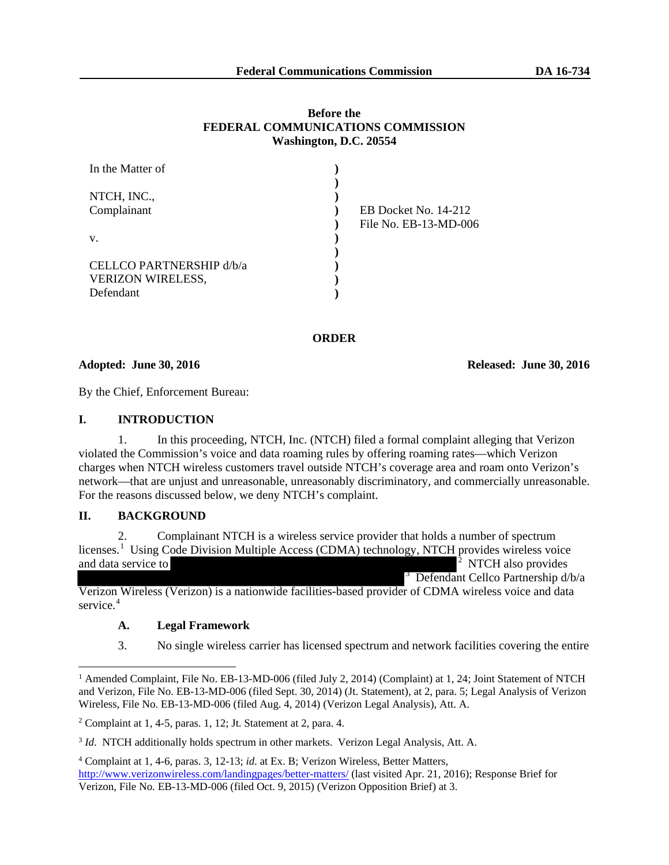### **Before the FEDERAL COMMUNICATIONS COMMISSION Washington, D.C. 20554**

| In the Matter of         |                       |
|--------------------------|-----------------------|
|                          |                       |
| NTCH, INC.,              |                       |
| Complainant              | EB Docket No. 14-212  |
|                          | File No. EB-13-MD-006 |
| V.                       |                       |
|                          |                       |
| CELLCO PARTNERSHIP d/b/a |                       |
| <b>VERIZON WIRELESS,</b> |                       |
| Defendant                |                       |

#### **ORDER**

#### **Adopted: June 30, 2016 Released: June 30, 2016**

By the Chief, Enforcement Bureau:

### **I. INTRODUCTION**

1. In this proceeding, NTCH, Inc. (NTCH) filed a formal complaint alleging that Verizon violated the Commission's voice and data roaming rules by offering roaming rates—which Verizon charges when NTCH wireless customers travel outside NTCH's coverage area and roam onto Verizon's network—that are unjust and unreasonable, unreasonably discriminatory, and commercially unreasonable. For the reasons discussed below, we deny NTCH's complaint.

# **II. BACKGROUND**

2. Complainant NTCH is a wireless service provider that holds a number of spectrum licenses.<sup>[1](#page-0-0)</sup> Using Code Division Multiple Access (CDMA) technology, NTCH provides wireless voice and data service to <sup>2</sup> NTCH also provides 3 Defendant Cellco Partnership d/b/a

Verizon Wireless (Verizon) is a nationwide facilities-based provider of CDMA wireless voice and data service.<sup>[4](#page-0-2)</sup>

# **A. Legal Framework**

3. No single wireless carrier has licensed spectrum and network facilities covering the entire

<span id="page-0-0"></span><sup>&</sup>lt;sup>1</sup> Amended Complaint, File No. EB-13-MD-006 (filed July 2, 2014) (Complaint) at 1, 24; Joint Statement of NTCH and Verizon, File No. EB-13-MD-006 (filed Sept. 30, 2014) (Jt. Statement), at 2, para. 5; Legal Analysis of Verizon Wireless, File No. EB-13-MD-006 (filed Aug. 4, 2014) (Verizon Legal Analysis), Att. A.

<span id="page-0-1"></span><sup>&</sup>lt;sup>2</sup> Complaint at 1, 4-5, paras. 1, 12; Jt. Statement at 2, para. 4.

<sup>3</sup> *Id*. NTCH additionally holds spectrum in other markets. Verizon Legal Analysis, Att. A.

<span id="page-0-2"></span><sup>4</sup> Complaint at 1, 4-6, paras. 3, 12-13; *id*. at Ex. B; Verizon Wireless, Better Matters, <http://www.verizonwireless.com/landingpages/better-matters/> (last visited Apr. 21, 2016); Response Brief for Verizon, File No. EB-13-MD-006 (filed Oct. 9, 2015) (Verizon Opposition Brief) at 3.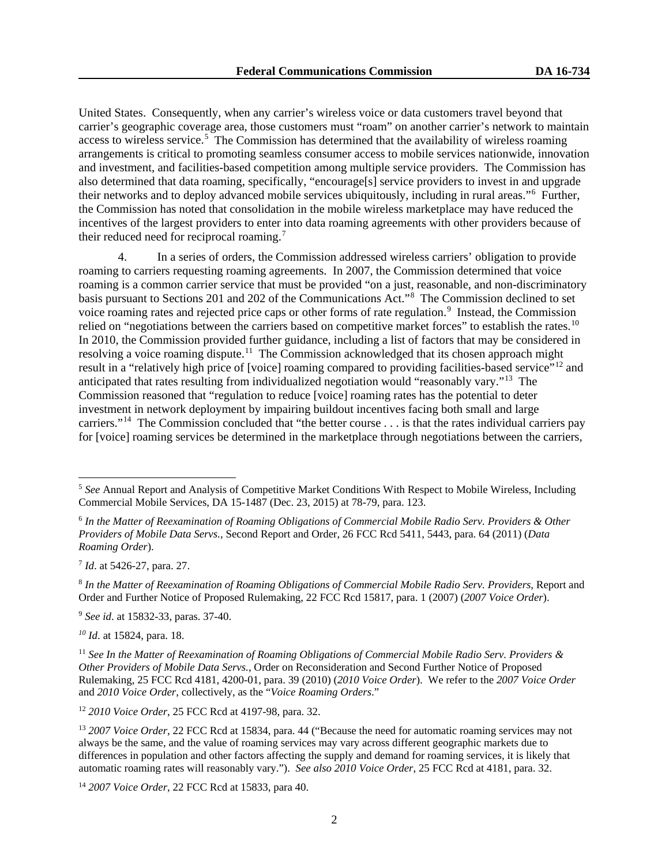United States. Consequently, when any carrier's wireless voice or data customers travel beyond that carrier's geographic coverage area, those customers must "roam" on another carrier's network to maintain access to wireless service.<sup>[5](#page-1-0)</sup> The Commission has determined that the availability of wireless roaming arrangements is critical to promoting seamless consumer access to mobile services nationwide, innovation and investment, and facilities-based competition among multiple service providers. The Commission has also determined that data roaming, specifically, "encourage[s] service providers to invest in and upgrade their networks and to deploy advanced mobile services ubiquitously, including in rural areas."[6](#page-1-1) Further, the Commission has noted that consolidation in the mobile wireless marketplace may have reduced the incentives of the largest providers to enter into data roaming agreements with other providers because of their reduced need for reciprocal roaming.<sup>[7](#page-1-2)</sup>

4. In a series of orders, the Commission addressed wireless carriers' obligation to provide roaming to carriers requesting roaming agreements. In 2007, the Commission determined that voice roaming is a common carrier service that must be provided "on a just, reasonable, and non-discriminatory basis pursuant to Sections 201 and 202 of the Communications Act."[8](#page-1-3) The Commission declined to set voice roaming rates and rejected price caps or other forms of rate regulation.<sup>[9](#page-1-4)</sup> Instead, the Commission relied on "negotiations between the carriers based on competitive market forces" to establish the rates.<sup>[10](#page-1-5)</sup> In 2010, the Commission provided further guidance, including a list of factors that may be considered in resolving a voice roaming dispute.<sup>[11](#page-1-6)</sup> The Commission acknowledged that its chosen approach might result in a "relatively high price of [voice] roaming compared to providing facilities-based service"[12](#page-1-7) and anticipated that rates resulting from individualized negotiation would "reasonably vary."[13](#page-1-8) The Commission reasoned that "regulation to reduce [voice] roaming rates has the potential to deter investment in network deployment by impairing buildout incentives facing both small and large carriers."[14](#page-1-9) The Commission concluded that "the better course . . . is that the rates individual carriers pay for [voice] roaming services be determined in the marketplace through negotiations between the carriers,

<span id="page-1-2"></span><sup>7</sup> *Id*. at 5426-27, para. 27.

<span id="page-1-4"></span><sup>9</sup> *See id*. at 15832-33, paras. 37-40.

<span id="page-1-5"></span>*<sup>10</sup> Id*. at 15824, para. 18.

<span id="page-1-7"></span><sup>12</sup> *2010 Voice Order*, 25 FCC Rcd at 4197-98, para. 32.

<span id="page-1-9"></span><sup>14</sup> *2007 Voice Order*, 22 FCC Rcd at 15833, para 40.

<span id="page-1-0"></span><sup>&</sup>lt;sup>5</sup> See Annual Report and Analysis of Competitive Market Conditions With Respect to Mobile Wireless, Including Commercial Mobile Services, DA 15-1487 (Dec. 23, 2015) at 78-79, para. 123.

<span id="page-1-1"></span><sup>6</sup> *In the Matter of Reexamination of Roaming Obligations of Commercial Mobile Radio Serv. Providers & Other Providers of Mobile Data Servs.*, Second Report and Order, 26 FCC Rcd 5411, 5443, para. 64 (2011) (*Data Roaming Order*).

<span id="page-1-3"></span><sup>8</sup> *In the Matter of Reexamination of Roaming Obligations of Commercial Mobile Radio Serv. Providers*, Report and Order and Further Notice of Proposed Rulemaking, 22 FCC Rcd 15817, para. 1 (2007) (*2007 Voice Order*).

<span id="page-1-6"></span><sup>11</sup> *See In the Matter of Reexamination of Roaming Obligations of Commercial Mobile Radio Serv. Providers & Other Providers of Mobile Data Servs.*, Order on Reconsideration and Second Further Notice of Proposed Rulemaking, 25 FCC Rcd 4181, 4200-01, para. 39 (2010) (*2010 Voice Order*). We refer to the *2007 Voice Order* and *2010 Voice Order*, collectively, as the "*Voice Roaming Orders*."

<span id="page-1-8"></span><sup>13</sup> *2007 Voice Order*, 22 FCC Rcd at 15834, para. 44 ("Because the need for automatic roaming services may not always be the same, and the value of roaming services may vary across different geographic markets due to differences in population and other factors affecting the supply and demand for roaming services, it is likely that automatic roaming rates will reasonably vary."). *See also 2010 Voice Order*, 25 FCC Rcd at 4181, para. 32.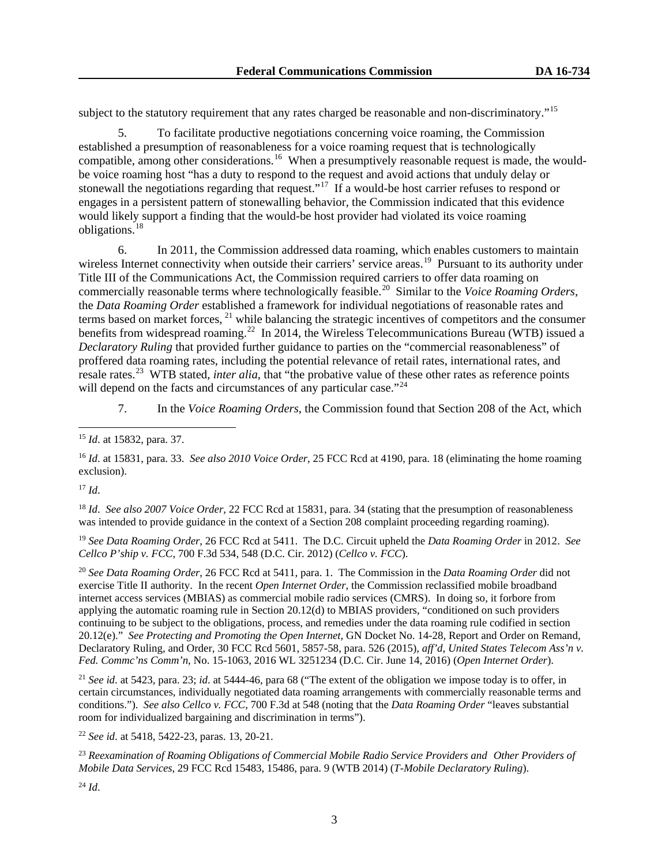subject to the statutory requirement that any rates charged be reasonable and non-discriminatory."<sup>15</sup>

5. To facilitate productive negotiations concerning voice roaming, the Commission established a presumption of reasonableness for a voice roaming request that is technologically compatible, among other considerations.<sup>[16](#page-2-1)</sup> When a presumptively reasonable request is made, the wouldbe voice roaming host "has a duty to respond to the request and avoid actions that unduly delay or stonewall the negotiations regarding that request."<sup>17</sup> If a would-be host carrier refuses to respond or engages in a persistent pattern of stonewalling behavior, the Commission indicated that this evidence would likely support a finding that the would-be host provider had violated its voice roaming obligations.[18](#page-2-3)

6. In 2011, the Commission addressed data roaming, which enables customers to maintain wireless Internet connectivity when outside their carriers' service areas.<sup>[19](#page-2-4)</sup> Pursuant to its authority under Title III of the Communications Act, the Commission required carriers to offer data roaming on commercially reasonable terms where technologically feasible.[20](#page-2-5) Similar to the *Voice Roaming Orders*, the *Data Roaming Order* established a framework for individual negotiations of reasonable rates and terms based on market forces, <sup>[21](#page-2-6)</sup> while balancing the strategic incentives of competitors and the consumer benefits from widespread roaming.<sup>22</sup> In 2014, the Wireless Telecommunications Bureau (WTB) issued a *Declaratory Ruling* that provided further guidance to parties on the "commercial reasonableness" of proffered data roaming rates, including the potential relevance of retail rates, international rates, and resale rates. [23](#page-2-8) WTB stated, *inter alia*, that "the probative value of these other rates as reference points will depend on the facts and circumstances of any particular case."<sup>[24](#page-2-9)</sup>

7. In the *Voice Roaming Orders*, the Commission found that Section 208 of the Act, which

<span id="page-2-1"></span><sup>16</sup> *Id*. at 15831, para. 33. *See also 2010 Voice Order*, 25 FCC Rcd at 4190, para. 18 (eliminating the home roaming exclusion).

<span id="page-2-2"></span><sup>17</sup> *Id*.

<span id="page-2-3"></span><sup>18</sup> *Id*. *See also 2007 Voice Order*, 22 FCC Rcd at 15831, para. 34 (stating that the presumption of reasonableness was intended to provide guidance in the context of a Section 208 complaint proceeding regarding roaming).

<span id="page-2-4"></span><sup>19</sup> *See Data Roaming Order*, 26 FCC Rcd at 5411. The D.C. Circuit upheld the *Data Roaming Order* in 2012. *See Cellco P'ship v. FCC*, 700 F.3d 534, 548 (D.C. Cir. 2012) (*Cellco v. FCC*).

<span id="page-2-5"></span><sup>20</sup> *See Data Roaming Order*, 26 FCC Rcd at 5411, para. 1. The Commission in the *Data Roaming Order* did not exercise Title II authority. In the recent *Open Internet Order*, the Commission reclassified mobile broadband internet access services (MBIAS) as commercial mobile radio services (CMRS). In doing so, it forbore from applying the automatic roaming rule in Section 20.12(d) to MBIAS providers, "conditioned on such providers continuing to be subject to the obligations, process, and remedies under the data roaming rule codified in section 20.12(e)." *See Protecting and Promoting the Open Internet*, GN Docket No. 14-28, Report and Order on Remand, Declaratory Ruling, and Order, 30 FCC Rcd 5601, 5857-58, para. 526 (2015), *aff'd*, *United States Telecom Ass'n v. Fed. Commc'ns Comm'n*, No. 15-1063, 2016 WL 3251234 (D.C. Cir. June 14, 2016) (*Open Internet Order*).

<span id="page-2-6"></span><sup>21</sup> *See id*. at 5423, para. 23; *id*. at 5444-46, para 68 ("The extent of the obligation we impose today is to offer, in certain circumstances, individually negotiated data roaming arrangements with commercially reasonable terms and conditions."). *See also Cellco v. FCC*, 700 F.3d at 548 (noting that the *Data Roaming Order* "leaves substantial room for individualized bargaining and discrimination in terms").

<span id="page-2-7"></span><sup>22</sup> *See id*. at 5418, 5422-23, paras. 13, 20-21.

<span id="page-2-8"></span><sup>23</sup> *Reexamination of Roaming Obligations of Commercial Mobile Radio Service Providers and Other Providers of Mobile Data Services*, 29 FCC Rcd 15483, 15486, para. 9 (WTB 2014) (*T-Mobile Declaratory Ruling*).

<span id="page-2-0"></span><sup>15</sup> *Id*. at 15832, para. 37.

<span id="page-2-9"></span><sup>24</sup> *Id*.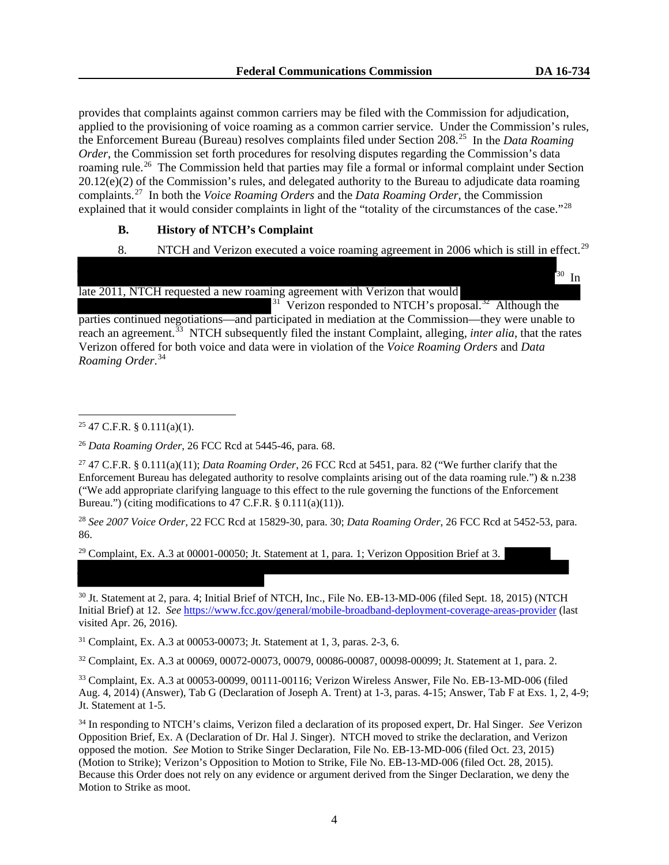30 In

provides that complaints against common carriers may be filed with the Commission for adjudication, applied to the provisioning of voice roaming as a common carrier service. Under the Commission's rules, the Enforcement Bureau (Bureau) resolves complaints filed under Section 208.[25](#page-3-0) In the *Data Roaming Order*, the Commission set forth procedures for resolving disputes regarding the Commission's data roaming rule.<sup>26</sup> The Commission held that parties may file a formal or informal complaint under Section 20.12(e)(2) of the Commission's rules, and delegated authority to the Bureau to adjudicate data roaming complaints.[27](#page-3-2) In both the *Voice Roaming Orders* and the *Data Roaming Order*, the Commission explained that it would consider complaints in light of the "totality of the circumstances of the case."<sup>[28](#page-3-3)</sup>

# **B. History of NTCH's Complaint**

8. NTCH and Verizon executed a voice roaming agreement in 2006 which is still in effect.<sup>[29](#page-3-4)</sup>

late 2011, NTCH requested a new roaming agreement with Verizon that would

 $31$  Verizon responded to NTCH's proposal.<sup>32</sup> Although the parties continued negotiations—and participated in mediation at the Commission—they were unable to reach an agreement.<sup>33</sup> NTCH subsequently filed the instant Complaint, alleging, *inter alia*, that the rates Verizon offered for both voice and data were in violation of the *Voice Roaming Orders* and *Data Roaming Order*. [34](#page-3-7)

<span id="page-3-3"></span><sup>28</sup> *See 2007 Voice Order*, 22 FCC Rcd at 15829-30, para. 30; *Data Roaming Order*, 26 FCC Rcd at 5452-53, para. 86.

<span id="page-3-4"></span><sup>29</sup> Complaint, Ex. A.3 at 00001-00050; Jt. Statement at 1, para. 1; Verizon Opposition Brief at 3.

<sup>30</sup> Jt. Statement at 2, para. 4; Initial Brief of NTCH, Inc., File No. EB-13-MD-006 (filed Sept. 18, 2015) (NTCH Initial Brief) at 12. *See* <https://www.fcc.gov/general/mobile-broadband-deployment-coverage-areas-provider> (last visited Apr. 26, 2016).

<span id="page-3-5"></span><sup>31</sup> Complaint, Ex. A.3 at 00053-00073; Jt. Statement at 1, 3, paras. 2-3, 6.

<sup>32</sup> Complaint, Ex. A.3 at 00069, 00072-00073, 00079, 00086-00087, 00098-00099; Jt. Statement at 1, para. 2.

<span id="page-3-6"></span><sup>33</sup> Complaint, Ex. A.3 at 00053-00099, 00111-00116; Verizon Wireless Answer, File No. EB-13-MD-006 (filed Aug. 4, 2014) (Answer), Tab G (Declaration of Joseph A. Trent) at 1-3, paras. 4-15; Answer, Tab F at Exs. 1, 2, 4-9; Jt. Statement at 1-5.

<span id="page-3-7"></span><sup>34</sup> In responding to NTCH's claims, Verizon filed a declaration of its proposed expert, Dr. Hal Singer. *See* Verizon Opposition Brief, Ex. A (Declaration of Dr. Hal J. Singer). NTCH moved to strike the declaration, and Verizon opposed the motion. *See* Motion to Strike Singer Declaration, File No. EB-13-MD-006 (filed Oct. 23, 2015) (Motion to Strike); Verizon's Opposition to Motion to Strike, File No. EB-13-MD-006 (filed Oct. 28, 2015). Because this Order does not rely on any evidence or argument derived from the Singer Declaration, we deny the Motion to Strike as moot.

<span id="page-3-0"></span> $25$  47 C.F.R. § 0.111(a)(1).

<span id="page-3-1"></span><sup>26</sup> *Data Roaming Order*, 26 FCC Rcd at 5445-46, para. 68.

<span id="page-3-2"></span><sup>27</sup> 47 C.F.R. § 0.111(a)(11); *Data Roaming Order*, 26 FCC Rcd at 5451, para. 82 ("We further clarify that the Enforcement Bureau has delegated authority to resolve complaints arising out of the data roaming rule.")  $\&$  n.238 ("We add appropriate clarifying language to this effect to the rule governing the functions of the Enforcement Bureau.") (citing modifications to  $47$  C.F.R.  $\S$  0.111(a)(11)).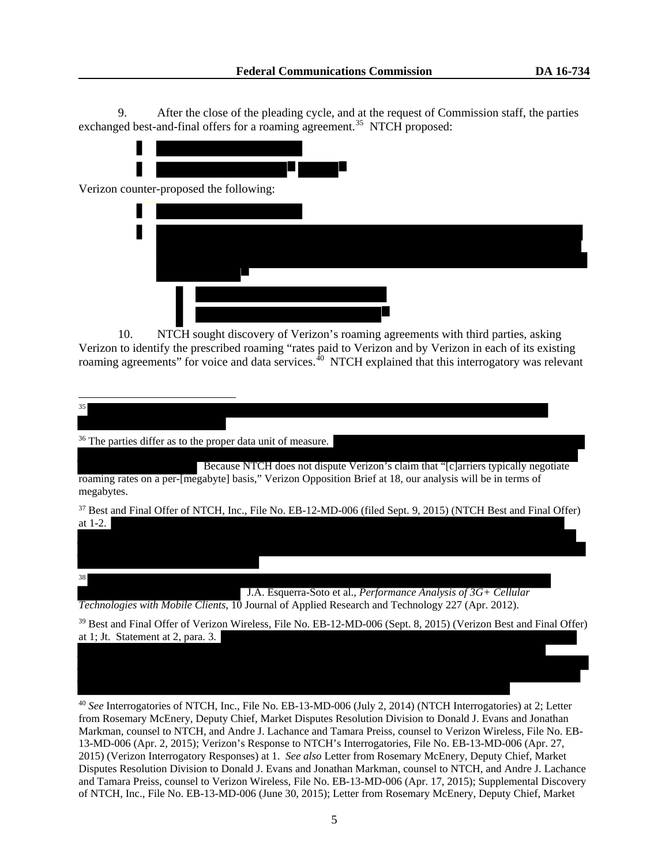9. After the close of the pleading cycle, and at the request of Commission staff, the parties exchanged best-and-final offers for a roaming agreement.<sup>35</sup> NTCH proposed:



10. NTCH sought discovery of Verizon's roaming agreements with third parties, asking Verizon to identify the prescribed roaming "rates paid to Verizon and by Verizon in each of its existing roaming agreements" for voice and data services.<sup>40</sup> NTCH explained that this interrogatory was relevant

<span id="page-4-0"></span>

<span id="page-4-1"></span><sup>40</sup> *See* Interrogatories of NTCH, Inc., File No. EB-13-MD-006 (July 2, 2014) (NTCH Interrogatories) at 2; Letter from Rosemary McEnery, Deputy Chief, Market Disputes Resolution Division to Donald J. Evans and Jonathan Markman, counsel to NTCH, and Andre J. Lachance and Tamara Preiss, counsel to Verizon Wireless, File No. EB-13-MD-006 (Apr. 2, 2015); Verizon's Response to NTCH's Interrogatories, File No. EB-13-MD-006 (Apr. 27, 2015) (Verizon Interrogatory Responses) at 1. *See also* Letter from Rosemary McEnery, Deputy Chief, Market Disputes Resolution Division to Donald J. Evans and Jonathan Markman, counsel to NTCH, and Andre J. Lachance and Tamara Preiss, counsel to Verizon Wireless, File No. EB-13-MD-006 (Apr. 17, 2015); Supplemental Discovery of NTCH, Inc., File No. EB-13-MD-006 (June 30, 2015); Letter from Rosemary McEnery, Deputy Chief, Market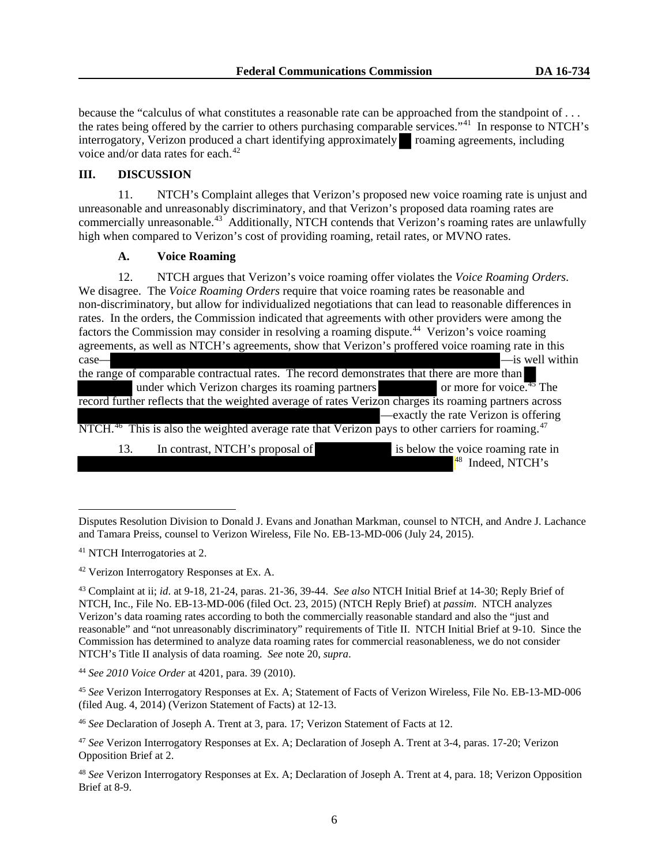because the "calculus of what constitutes a reasonable rate can be approached from the standpoint of . . . the rates being offered by the carrier to others purchasing comparable services."<sup>[41](#page-5-0)</sup> In response to NTCH's interrogatory, Verizon produced a chart identifying approximately roaming agreements, including voice and/or data rates for each.<sup>[42](#page-5-1)</sup>

# **III. DISCUSSION**

11. NTCH's Complaint alleges that Verizon's proposed new voice roaming rate is unjust and unreasonable and unreasonably discriminatory, and that Verizon's proposed data roaming rates are commercially unreasonable.<sup>43</sup> Additionally, NTCH contends that Verizon's roaming rates are unlawfully high when compared to Verizon's cost of providing roaming, retail rates, or MVNO rates.

# **A. Voice Roaming**

12. NTCH argues that Verizon's voice roaming offer violates the *Voice Roaming Orders*. We disagree. The *Voice Roaming Orders* require that voice roaming rates be reasonable and non-discriminatory, but allow for individualized negotiations that can lead to reasonable differences in rates. In the orders, the Commission indicated that agreements with other providers were among the factors the Commission may consider in resolving a roaming dispute.<sup>[44](#page-5-3)</sup> Verizon's voice roaming agreements, as well as NTCH's agreements, show that Verizon's proffered voice roaming rate in this case— — is well within  $\frac{1}{2}$  —is well within the range of comparable contractual rates. The record demonstrates that there are more than under which Verizon charges its roaming partners or more for voice.<sup>45</sup> The

record further reflects that the weighted average of rates Verizon charges its roaming partners across —exactly the rate Verizon is offering

NTCH.<sup>46</sup> This is also the weighted average rate that Verizon pays to other carriers for roaming.<sup>[47](#page-5-4)</sup>

13. In contrast, NTCH's proposal of is below the voice roaming rate in  $48$  Indeed, NTCH's

Disputes Resolution Division to Donald J. Evans and Jonathan Markman, counsel to NTCH, and Andre J. Lachance and Tamara Preiss, counsel to Verizon Wireless, File No. EB-13-MD-006 (July 24, 2015).

<span id="page-5-0"></span><sup>41</sup> NTCH Interrogatories at 2.

<span id="page-5-1"></span><sup>42</sup> Verizon Interrogatory Responses at Ex. A.

<span id="page-5-2"></span><sup>43</sup> Complaint at ii; *id*. at 9-18, 21-24, paras. 21-36, 39-44. *See also* NTCH Initial Brief at 14-30; Reply Brief of NTCH, Inc., File No. EB-13-MD-006 (filed Oct. 23, 2015) (NTCH Reply Brief) at *passim*. NTCH analyzes Verizon's data roaming rates according to both the commercially reasonable standard and also the "just and reasonable" and "not unreasonably discriminatory" requirements of Title II. NTCH Initial Brief at 9-10. Since the Commission has determined to analyze data roaming rates for commercial reasonableness, we do not consider NTCH's Title II analysis of data roaming. *See* note 20, *supra*.

<span id="page-5-3"></span><sup>44</sup> *See 2010 Voice Order* at 4201, para. 39 (2010).

<sup>45</sup> *See* Verizon Interrogatory Responses at Ex. A; Statement of Facts of Verizon Wireless, File No. EB-13-MD-006 (filed Aug. 4, 2014) (Verizon Statement of Facts) at 12-13.

<sup>46</sup> *See* Declaration of Joseph A. Trent at 3, para. 17; Verizon Statement of Facts at 12.

<span id="page-5-4"></span><sup>47</sup> *See* Verizon Interrogatory Responses at Ex. A; Declaration of Joseph A. Trent at 3-4, paras. 17-20; Verizon Opposition Brief at 2.

<span id="page-5-5"></span><sup>48</sup> *See* Verizon Interrogatory Responses at Ex. A; Declaration of Joseph A. Trent at 4, para. 18; Verizon Opposition Brief at 8-9.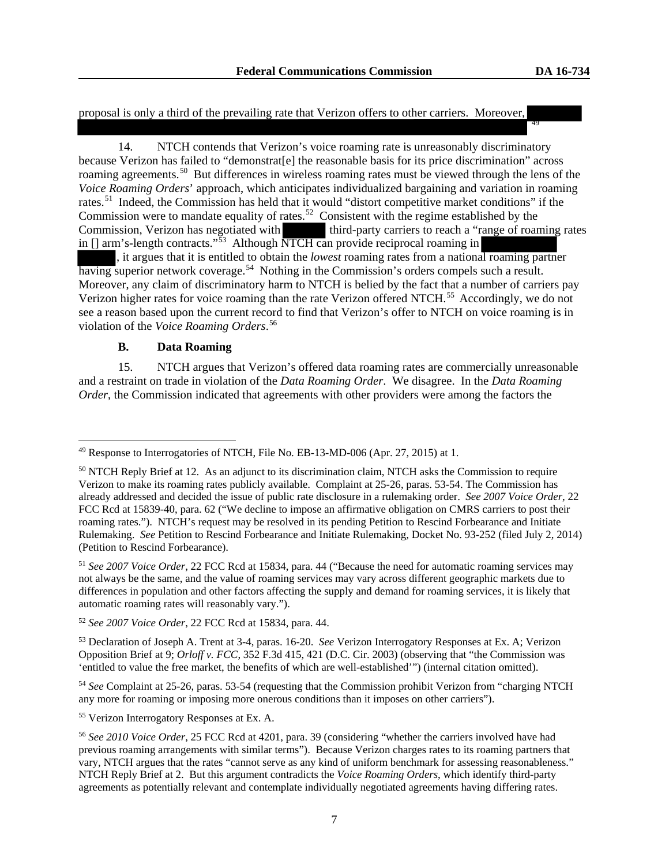proposal is only a third of the prevailing rate that Verizon offers to other carriers. Moreover, 49

14. NTCH contends that Verizon's voice roaming rate is unreasonably discriminatory because Verizon has failed to "demonstrat[e] the reasonable basis for its price discrimination" across roaming agreements.<sup>50</sup> But differences in wireless roaming rates must be viewed through the lens of the *Voice Roaming Orders*' approach, which anticipates individualized bargaining and variation in roaming rates.[51](#page-6-1) Indeed, the Commission has held that it would "distort competitive market conditions" if the Commission were to mandate equality of rates.<sup>[52](#page-6-2)</sup> Consistent with the regime established by the Commission, Verizon has negotiated with third-party carriers to reach a "range of roaming rates" in [] arm's-length contracts."[53](#page-6-3) Although NTCH can provide reciprocal roaming in

, it argues that it is entitled to obtain the *lowest* roaming rates from a national roaming partner having superior network coverage.<sup>[54](#page-6-4)</sup> Nothing in the Commission's orders compels such a result. Moreover, any claim of discriminatory harm to NTCH is belied by the fact that a number of carriers pay Verizon higher rates for voice roaming than the rate Verizon offered NTCH.<sup>[55](#page-6-5)</sup> Accordingly, we do not see a reason based upon the current record to find that Verizon's offer to NTCH on voice roaming is in violation of the *Voice Roaming Orders*. [56](#page-6-6)

### **B. Data Roaming**

15. NTCH argues that Verizon's offered data roaming rates are commercially unreasonable and a restraint on trade in violation of the *Data Roaming Order*. We disagree. In the *Data Roaming Order*, the Commission indicated that agreements with other providers were among the factors the

<span id="page-6-4"></span><sup>54</sup> *See* Complaint at 25-26, paras. 53-54 (requesting that the Commission prohibit Verizon from "charging NTCH any more for roaming or imposing more onerous conditions than it imposes on other carriers").

<span id="page-6-5"></span><sup>55</sup> Verizon Interrogatory Responses at Ex. A.

<sup>49</sup> Response to Interrogatories of NTCH, File No. EB-13-MD-006 (Apr. 27, 2015) at 1.

<span id="page-6-0"></span><sup>&</sup>lt;sup>50</sup> NTCH Reply Brief at 12. As an adjunct to its discrimination claim, NTCH asks the Commission to require Verizon to make its roaming rates publicly available. Complaint at 25-26, paras. 53-54. The Commission has already addressed and decided the issue of public rate disclosure in a rulemaking order. *See 2007 Voice Order*, 22 FCC Rcd at 15839-40, para. 62 ("We decline to impose an affirmative obligation on CMRS carriers to post their roaming rates."). NTCH's request may be resolved in its pending Petition to Rescind Forbearance and Initiate Rulemaking. *See* Petition to Rescind Forbearance and Initiate Rulemaking, Docket No. 93-252 (filed July 2, 2014) (Petition to Rescind Forbearance).

<span id="page-6-1"></span><sup>51</sup> *See 2007 Voice Order*, 22 FCC Rcd at 15834, para. 44 ("Because the need for automatic roaming services may not always be the same, and the value of roaming services may vary across different geographic markets due to differences in population and other factors affecting the supply and demand for roaming services, it is likely that automatic roaming rates will reasonably vary.").

<span id="page-6-2"></span><sup>52</sup> *See 2007 Voice Order*, 22 FCC Rcd at 15834, para. 44.

<span id="page-6-3"></span><sup>53</sup> Declaration of Joseph A. Trent at 3-4, paras. 16-20. *See* Verizon Interrogatory Responses at Ex. A; Verizon Opposition Brief at 9; *Orloff v. FCC*, 352 F.3d 415, 421 (D.C. Cir. 2003) (observing that "the Commission was 'entitled to value the free market, the benefits of which are well-established'") (internal citation omitted).

<span id="page-6-6"></span><sup>56</sup> *See 2010 Voice Order*, 25 FCC Rcd at 4201, para. 39 (considering "whether the carriers involved have had previous roaming arrangements with similar terms"). Because Verizon charges rates to its roaming partners that vary, NTCH argues that the rates "cannot serve as any kind of uniform benchmark for assessing reasonableness." NTCH Reply Brief at 2. But this argument contradicts the *Voice Roaming Orders*, which identify third-party agreements as potentially relevant and contemplate individually negotiated agreements having differing rates.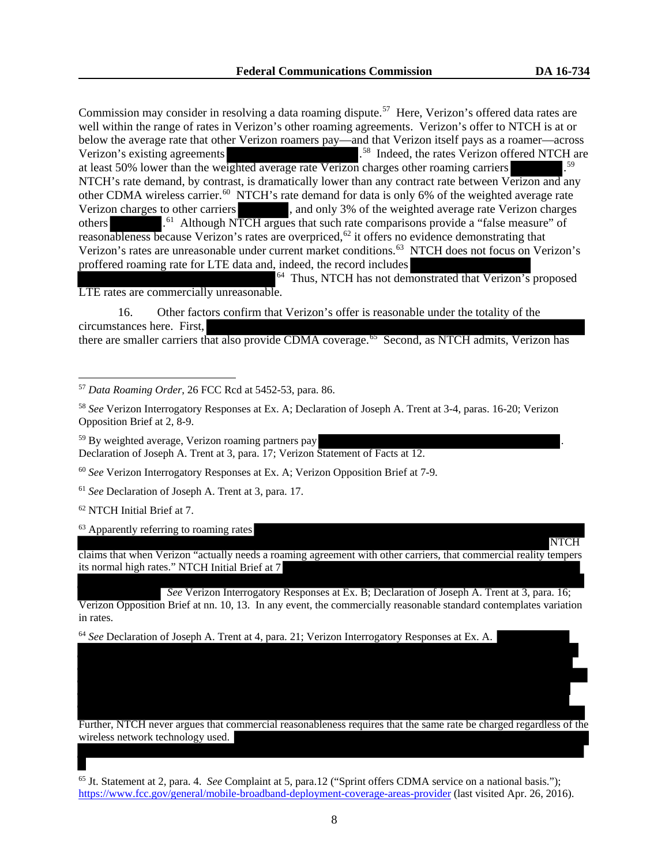NTCH

Commission may consider in resolving a data roaming dispute.<sup>[57](#page-7-0)</sup> Here, Verizon's offered data rates are well within the range of rates in Verizon's other roaming agreements. Verizon's offer to NTCH is at or below the average rate that other Verizon roamers pay—and that Verizon itself pays as a roamer—across Verizon's existing agreements . <sup>[58](#page-7-1)</sup> Indeed, the rates Verizon offered NTCH are at least 50% lower than the weighted average rate Verizon charges other roaming carriers [59](#page-7-2) NTCH's rate demand, by contrast, is dramatically lower than any contract rate between Verizon and any other CDMA wireless carrier.<sup>60</sup> NTCH's rate demand for data is only 6% of the weighted average rate Verizon charges to other carriers , and only 3% of the weighted average rate Verizon charges others .<sup>[61](#page-7-4)</sup> Although NTCH argues that such rate comparisons provide a "false measure" of reasonableness because Verizon's rates are overpriced,<sup>[62](#page-7-5)</sup> it offers no evidence demonstrating that Verizon's rates are unreasonable under current market conditions. [63](#page-7-6) NTCH does not focus on Verizon's proffered roaming rate for LTE data and, indeed, the record includes

<sup>64</sup> Thus, NTCH has not demonstrated that Verizon's proposed LTE rates are commercially unreasonable.

16. Other factors confirm that Verizon's offer is reasonable under the totality of the circumstances here. First, there are smaller carriers that also provide CDMA coverage.<sup>65</sup> Second, as NTCH admits, Verizon has

<span id="page-7-0"></span><sup>57</sup> *Data Roaming Order*, 26 FCC Rcd at 5452-53, para. 86.

<span id="page-7-1"></span><sup>58</sup> *See* Verizon Interrogatory Responses at Ex. A; Declaration of Joseph A. Trent at 3-4, paras. 16-20; Verizon Opposition Brief at 2, 8-9.

<span id="page-7-2"></span> $59$  By weighted average, Verizon roaming partners pay Declaration of Joseph A. Trent at 3, para. 17; Verizon Statement of Facts at 12.

<span id="page-7-3"></span><sup>60</sup> *See* Verizon Interrogatory Responses at Ex. A; Verizon Opposition Brief at 7-9.

<span id="page-7-5"></span><sup>62</sup> NTCH Initial Brief at 7.

<span id="page-7-6"></span><sup>63</sup> Apparently referring to roaming rates

claims that when Verizon "actually needs a roaming agreement with other carriers, that commercial reality tempers its normal high rates." NTCH Initial Brief at 7

*See* Verizon Interrogatory Responses at Ex. B; Declaration of Joseph A. Trent at 3, para. 16; Verizon Opposition Brief at nn. 10, 13. In any event, the commercially reasonable standard contemplates variation in rates.

<span id="page-7-7"></span><sup>64</sup> *See* Declaration of Joseph A. Trent at 4, para. 21; Verizon Interrogatory Responses at Ex. A.

Further, NTCH never argues that commercial reasonableness requires that the same rate be charged regardless of the wireless network technology used.

<sup>65</sup> Jt. Statement at 2, para. 4. *See* Complaint at 5, para.12 ("Sprint offers CDMA service on a national basis."); <https://www.fcc.gov/general/mobile-broadband-deployment-coverage-areas-provider> (last visited Apr. 26, 2016).

<span id="page-7-4"></span><sup>61</sup> *See* Declaration of Joseph A. Trent at 3, para. 17.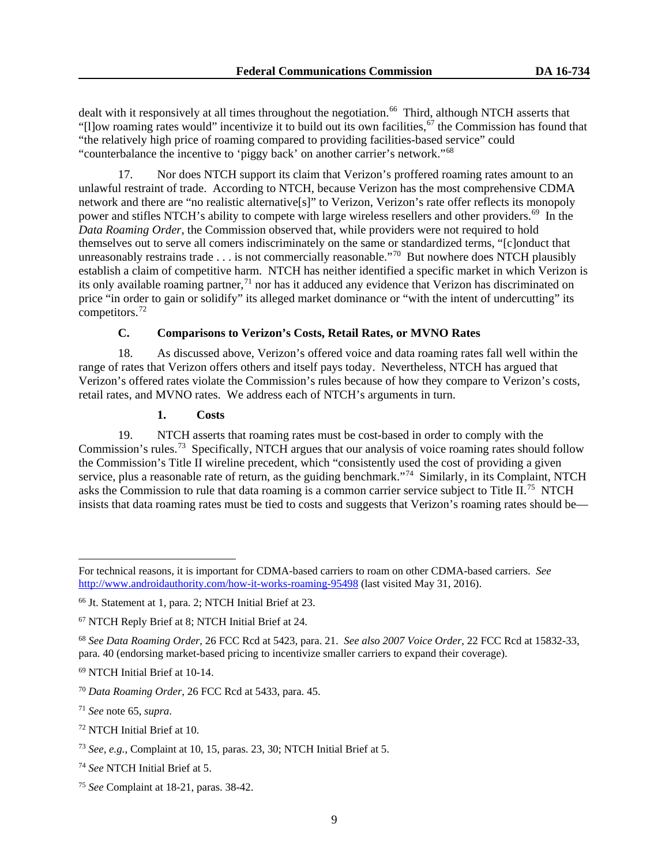dealt with it responsively at all times throughout the negotiation.<sup>66</sup> Third, although NTCH asserts that "[I]ow roaming rates would" incentivize it to build out its own facilities,  $67$  the Commission has found that "the relatively high price of roaming compared to providing facilities-based service" could "counterbalance the incentive to 'piggy back' on another carrier's network."[68](#page-8-2)

17. Nor does NTCH support its claim that Verizon's proffered roaming rates amount to an unlawful restraint of trade. According to NTCH, because Verizon has the most comprehensive CDMA network and there are "no realistic alternative[s]" to Verizon, Verizon's rate offer reflects its monopoly power and stifles NTCH's ability to compete with large wireless resellers and other providers.<sup>69</sup> In the *Data Roaming Order*, the Commission observed that, while providers were not required to hold themselves out to serve all comers indiscriminately on the same or standardized terms, "[c]onduct that unreasonably restrains trade . . . is not commercially reasonable."<sup>70</sup> But nowhere does NTCH plausibly establish a claim of competitive harm. NTCH has neither identified a specific market in which Verizon is its only available roaming partner,<sup>[71](#page-8-5)</sup> nor has it adduced any evidence that Verizon has discriminated on price "in order to gain or solidify" its alleged market dominance or "with the intent of undercutting" its competitors.[72](#page-8-6)

# **C. Comparisons to Verizon's Costs, Retail Rates, or MVNO Rates**

18. As discussed above, Verizon's offered voice and data roaming rates fall well within the range of rates that Verizon offers others and itself pays today. Nevertheless, NTCH has argued that Verizon's offered rates violate the Commission's rules because of how they compare to Verizon's costs, retail rates, and MVNO rates. We address each of NTCH's arguments in turn.

#### **1. Costs**

19. NTCH asserts that roaming rates must be cost-based in order to comply with the Commission's rules.<sup>[73](#page-8-7)</sup> Specifically, NTCH argues that our analysis of voice roaming rates should follow the Commission's Title II wireline precedent, which "consistently used the cost of providing a given service, plus a reasonable rate of return, as the guiding benchmark."<sup>74</sup> Similarly, in its Complaint, NTCH asks the Commission to rule that data roaming is a common carrier service subject to Title II.<sup>75</sup> NTCH insists that data roaming rates must be tied to costs and suggests that Verizon's roaming rates should be—

<span id="page-8-6"></span><sup>72</sup> NTCH Initial Brief at 10.

For technical reasons, it is important for CDMA-based carriers to roam on other CDMA-based carriers. *See* <http://www.androidauthority.com/how-it-works-roaming-95498> (last visited May 31, 2016).

<span id="page-8-0"></span><sup>66</sup> Jt. Statement at 1, para. 2; NTCH Initial Brief at 23.

<span id="page-8-1"></span><sup>67</sup> NTCH Reply Brief at 8; NTCH Initial Brief at 24.

<span id="page-8-2"></span><sup>68</sup> *See Data Roaming Order*, 26 FCC Rcd at 5423, para. 21. *See also 2007 Voice Order*, 22 FCC Rcd at 15832-33, para. 40 (endorsing market-based pricing to incentivize smaller carriers to expand their coverage).

<span id="page-8-3"></span><sup>69</sup> NTCH Initial Brief at 10-14.

<span id="page-8-4"></span><sup>70</sup> *Data Roaming Order*, 26 FCC Rcd at 5433, para. 45.

<span id="page-8-5"></span><sup>71</sup> *See* note 65, *supra*.

<span id="page-8-7"></span><sup>73</sup> *See, e.g.*, Complaint at 10, 15, paras. 23, 30; NTCH Initial Brief at 5.

<span id="page-8-8"></span><sup>74</sup> *See* NTCH Initial Brief at 5.

<span id="page-8-9"></span><sup>75</sup> *See* Complaint at 18-21, paras. 38-42.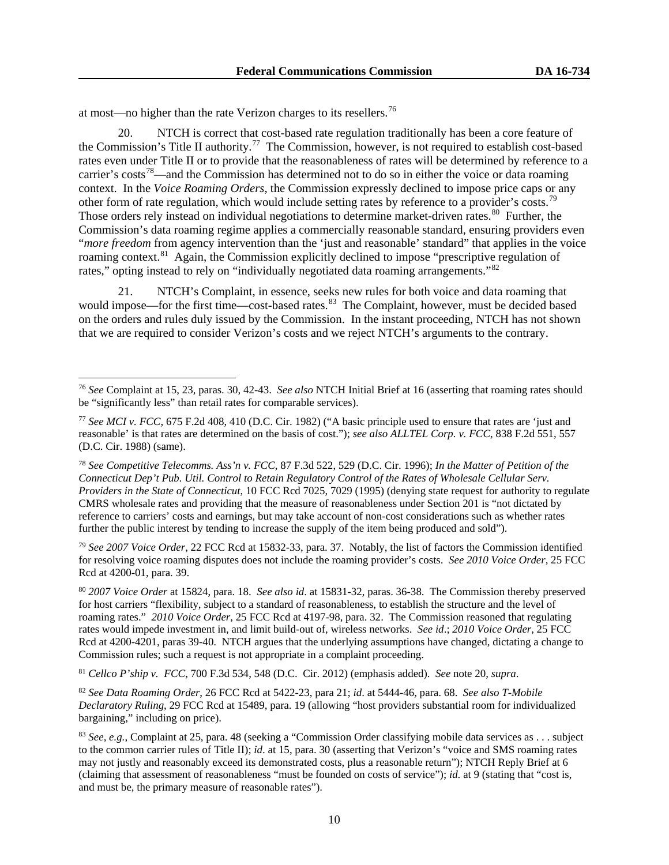at most—no higher than the rate Verizon charges to its resellers.[76](#page-9-0)

20. NTCH is correct that cost-based rate regulation traditionally has been a core feature of the Commission's Title II authority.<sup>[77](#page-9-1)</sup> The Commission, however, is not required to establish cost-based rates even under Title II or to provide that the reasonableness of rates will be determined by reference to a carrier's costs<sup>[78](#page-9-2)</sup>—and the Commission has determined not to do so in either the voice or data roaming context. In the *Voice Roaming Orders*, the Commission expressly declined to impose price caps or any other form of rate regulation, which would include setting rates by reference to a provider's costs.<sup>79</sup> Those orders rely instead on individual negotiations to determine market-driven rates.<sup>[80](#page-9-4)</sup> Further, the Commission's data roaming regime applies a commercially reasonable standard, ensuring providers even "*more freedom* from agency intervention than the 'just and reasonable' standard" that applies in the voice roaming context.<sup>[81](#page-9-5)</sup> Again, the Commission explicitly declined to impose "prescriptive regulation of rates," opting instead to rely on "individually negotiated data roaming arrangements."<sup>[82](#page-9-6)</sup>

NTCH's Complaint, in essence, seeks new rules for both voice and data roaming that would impose—for the first time—cost-based rates.<sup>[83](#page-9-7)</sup> The Complaint, however, must be decided based on the orders and rules duly issued by the Commission. In the instant proceeding, NTCH has not shown that we are required to consider Verizon's costs and we reject NTCH's arguments to the contrary.

<span id="page-9-3"></span><sup>79</sup> *See 2007 Voice Order*, 22 FCC Rcd at 15832-33, para. 37. Notably, the list of factors the Commission identified for resolving voice roaming disputes does not include the roaming provider's costs. *See 2010 Voice Order*, 25 FCC Rcd at 4200-01, para. 39.

<span id="page-9-4"></span><sup>80</sup> *2007 Voice Order* at 15824, para. 18. *See also id*. at 15831-32, paras. 36-38. The Commission thereby preserved for host carriers "flexibility, subject to a standard of reasonableness, to establish the structure and the level of roaming rates." *2010 Voice Order*, 25 FCC Rcd at 4197-98, para. 32. The Commission reasoned that regulating rates would impede investment in, and limit build-out of, wireless networks. *See id*.; *2010 Voice Order*, 25 FCC Rcd at 4200-4201, paras 39-40. NTCH argues that the underlying assumptions have changed, dictating a change to Commission rules; such a request is not appropriate in a complaint proceeding.

<span id="page-9-5"></span><sup>81</sup> *Cellco P'ship v. FCC*, 700 F.3d 534, 548 (D.C. Cir. 2012) (emphasis added). *See* note 20, *supra*.

<span id="page-9-6"></span><sup>82</sup> *See Data Roaming Order*, 26 FCC Rcd at 5422-23, para 21; *id*. at 5444-46, para. 68. *See also T-Mobile Declaratory Ruling*, 29 FCC Rcd at 15489, para. 19 (allowing "host providers substantial room for individualized bargaining," including on price).

<span id="page-9-0"></span><sup>76</sup> *See* Complaint at 15, 23, paras. 30, 42-43. *See also* NTCH Initial Brief at 16 (asserting that roaming rates should be "significantly less" than retail rates for comparable services).

<span id="page-9-1"></span><sup>77</sup> *See MCI v. FCC*, 675 F.2d 408, 410 (D.C. Cir. 1982) ("A basic principle used to ensure that rates are 'just and reasonable' is that rates are determined on the basis of cost."); *see also ALLTEL Corp. v. FCC*, 838 F.2d 551, 557 (D.C. Cir. 1988) (same).

<span id="page-9-2"></span><sup>78</sup> *See Competitive Telecomms. Ass'n v. FCC*, 87 F.3d 522, 529 (D.C. Cir. 1996); *In the Matter of Petition of the Connecticut Dep't Pub. Util. Control to Retain Regulatory Control of the Rates of Wholesale Cellular Serv. Providers in the State of Connecticut*, 10 FCC Rcd 7025, 7029 (1995) (denying state request for authority to regulate CMRS wholesale rates and providing that the measure of reasonableness under Section 201 is "not dictated by reference to carriers' costs and earnings, but may take account of non-cost considerations such as whether rates further the public interest by tending to increase the supply of the item being produced and sold").

<span id="page-9-7"></span><sup>83</sup> *See, e.g.*, Complaint at 25, para. 48 (seeking a "Commission Order classifying mobile data services as . . . subject to the common carrier rules of Title II); *id*. at 15, para. 30 (asserting that Verizon's "voice and SMS roaming rates may not justly and reasonably exceed its demonstrated costs, plus a reasonable return"); NTCH Reply Brief at 6 (claiming that assessment of reasonableness "must be founded on costs of service"); *id*. at 9 (stating that "cost is, and must be, the primary measure of reasonable rates").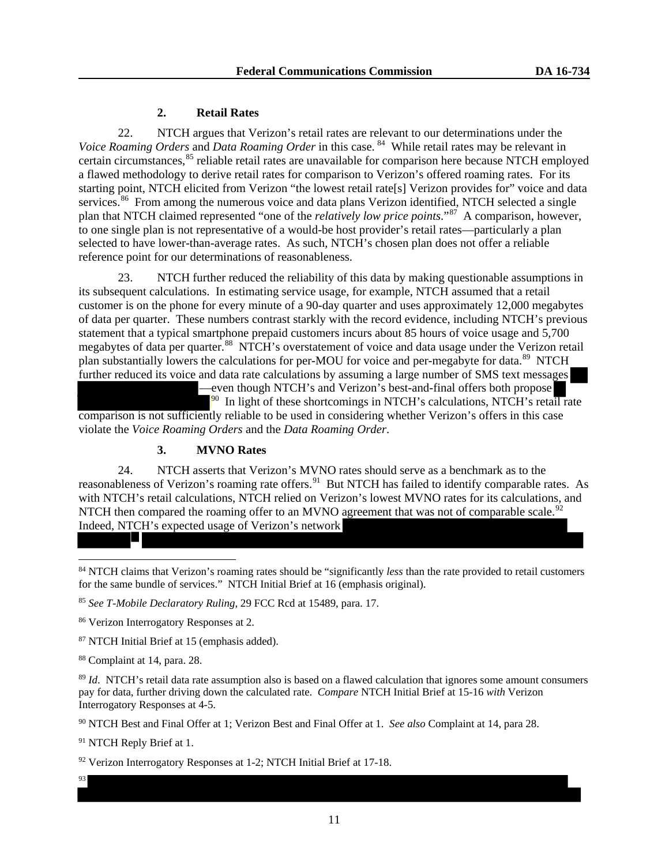# **2. Retail Rates**

22. NTCH argues that Verizon's retail rates are relevant to our determinations under the *Voice Roaming Orders* and *Data Roaming Order* in this case. [84](#page-10-0) While retail rates may be relevant in certain circumstances,<sup>[85](#page-10-1)</sup> reliable retail rates are unavailable for comparison here because NTCH employed a flawed methodology to derive retail rates for comparison to Verizon's offered roaming rates. For its starting point, NTCH elicited from Verizon "the lowest retail rate[s] Verizon provides for" voice and data services.<sup>86</sup> From among the numerous voice and data plans Verizon identified, NTCH selected a single plan that NTCH claimed represented "one of the *relatively low price points*."[87](#page-10-3) A comparison, however, to one single plan is not representative of a would-be host provider's retail rates—particularly a plan selected to have lower-than-average rates. As such, NTCH's chosen plan does not offer a reliable reference point for our determinations of reasonableness.

23. NTCH further reduced the reliability of this data by making questionable assumptions in its subsequent calculations. In estimating service usage, for example, NTCH assumed that a retail customer is on the phone for every minute of a 90-day quarter and uses approximately 12,000 megabytes of data per quarter. These numbers contrast starkly with the record evidence, including NTCH's previous statement that a typical smartphone prepaid customers incurs about 85 hours of voice usage and 5,700 megabytes of data per quarter.<sup>[88](#page-10-4)</sup> NTCH's overstatement of voice and data usage under the Verizon retail plan substantially lowers the calculations for per-MOU for voice and per-megabyte for data.<sup>89</sup> NTCH further reduced its voice and data rate calculations by assuming a large number of SMS text messages

—even though NTCH's and Verizon's best-and-final offers both propose  $90$  In light of these shortcomings in NTCH's calculations, NTCH's retail rate

comparison is not sufficiently reliable to be used in considering whether Verizon's offers in this case violate the *Voice Roaming Orders* and the *Data Roaming Order*.

# **3. MVNO Rates**

24. NTCH asserts that Verizon's MVNO rates should serve as a benchmark as to the reasonableness of Verizon's roaming rate offers.<sup>[91](#page-10-7)</sup> But NTCH has failed to identify comparable rates. As with NTCH's retail calculations, NTCH relied on Verizon's lowest MVNO rates for its calculations, and NTCH then compared the roaming offer to an MVNO agreement that was not of comparable scale.<sup>92</sup> Indeed, NTCH's expected usage of Verizon's network

<span id="page-10-0"></span>84 NTCH claims that Verizon's roaming rates should be "significantly *less* than the rate provided to retail customers for the same bundle of services." NTCH Initial Brief at 16 (emphasis original).

<span id="page-10-1"></span><sup>85</sup> *See T-Mobile Declaratory Ruling*, 29 FCC Rcd at 15489, para. 17.

<span id="page-10-2"></span><sup>86</sup> Verizon Interrogatory Responses at 2.

<span id="page-10-3"></span><sup>87</sup> NTCH Initial Brief at 15 (emphasis added).

<span id="page-10-4"></span><sup>88</sup> Complaint at 14, para. 28.

<span id="page-10-5"></span><sup>89</sup> *Id.* NTCH's retail data rate assumption also is based on a flawed calculation that ignores some amount consumers pay for data, further driving down the calculated rate. *Compare* NTCH Initial Brief at 15-16 *with* Verizon Interrogatory Responses at 4-5.

<span id="page-10-6"></span><sup>90</sup> NTCH Best and Final Offer at 1; Verizon Best and Final Offer at 1. *See also* Complaint at 14, para 28.

<span id="page-10-7"></span><sup>91</sup> NTCH Reply Brief at 1.

<span id="page-10-8"></span><sup>92</sup> Verizon Interrogatory Responses at 1-2; NTCH Initial Brief at 17-18.

93